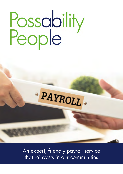# Possability<br>People

PAYROLL.

An expert, friendly payroll service that reinvests in our communities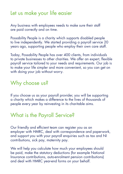### Let us make your life easier

Any business with employees needs to make sure their staff are paid correctly and on time.

Possability People is a charity which supports disabled people to live independently. We started providing a payroll service 20 years ago, supporting people who employ their own care staff.

Today, Possability People has over 400 clients, from individuals to private businesses to other charities. We offer an expert, flexible payroll service tailored to your needs and requirements. Our job is to make your life simpler and more convenient, so you can get on with doing your job without worry.

## Why choose us?

If you choose us as your payroll provider, you will be supporting a charity which makes a difference to the lives of thousands of people every year by reinvesting in its charitable aims.

## What is the Payroll Service?

Our friendly and efficient team can register you as an employer with HMRC, deal with correspondence and paperwork, and support you with your payroll enquiries such as tax and NI contributions, sick pay, maternity pay.

We will help you calculate how much your employees should be paid, make the statutory deductions (for example National Insurance contributions, auto-enrolment pension contributions) and deal with HMRC year-end forms on your behalf.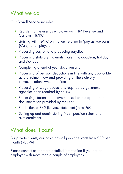# What we do

Our Payroll Service includes:

- Registering the user as employer with HM Revenue and Customs (HMRC)
- Liaising with HMRC on matters relating to 'pay as you earn' (PAYE) for employers
- Processing payroll and producing payslips
- Processing statutory maternity, paternity, adoption, holiday and sick pay
- Completing of end of year documentation
- Processing of pension deductions in line with any applicable auto enrolment law and providing all the statutory communications when required
- Processing of wage deductions required by government agencies or as required by courts
- Processing starters and leavers based on the appropriate documentation provided by the user
- Production of P45 (leavers' statements) and P60.
- Setting up and administering NEST pension scheme for auto-enrolment.

## What does it cost?

For private clients, our basic payroll package starts from £20 per month (plus VAT).

Please contact us for more detailed information if you are an employer with more than a couple of employees.